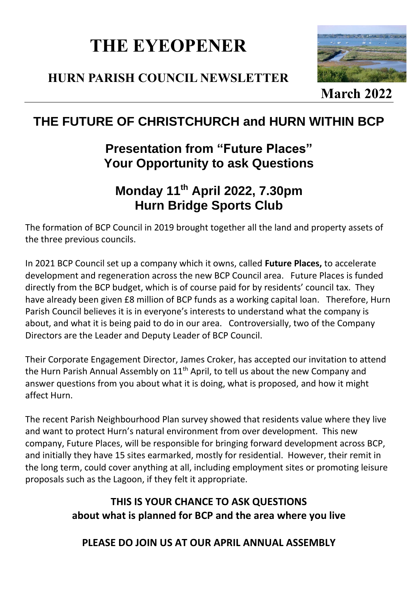# **THE EYEOPENER**

## **HURN PARISH COUNCIL NEWSLETTER**



**[Marc](https://photoeverywhere.co.uk/britain/dorset/slides/christchurch_estuary.htm)h 20[22](https://creativecommons.org/licenses/by/3.0/)**

# **THE FUTURE OF CHRISTCHURCH and HURN WITHIN BCP**

# **Presentation from "Future Places" Your Opportunity to ask Questions**

# **Monday 11th April 2022, 7.30pm Hurn Bridge Sports Club**

The formation of BCP Council in 2019 brought together all the land and property assets of the three previous councils.

In 2021 BCP Council set up a company which it owns, called **Future Places,** to accelerate development and regeneration across the new BCP Council area. Future Places is funded directly from the BCP budget, which is of course paid for by residents' council tax. They have already been given £8 million of BCP funds as a working capital loan. Therefore, Hurn Parish Council believes it is in everyone's interests to understand what the company is about, and what it is being paid to do in our area. Controversially, two of the Company Directors are the Leader and Deputy Leader of BCP Council.

Their Corporate Engagement Director, James Croker, has accepted our invitation to attend the Hurn Parish Annual Assembly on  $11<sup>th</sup>$  April, to tell us about the new Company and answer questions from you about what it is doing, what is proposed, and how it might affect Hurn.

The recent Parish Neighbourhood Plan survey showed that residents value where they live and want to protect Hurn's natural environment from over development. This new company, Future Places, will be responsible for bringing forward development across BCP, and initially they have 15 sites earmarked, mostly for residential. However, their remit in the long term, could cover anything at all, including employment sites or promoting leisure proposals such as the Lagoon, if they felt it appropriate.

### **THIS IS YOUR CHANCE TO ASK QUESTIONS about what is planned for BCP and the area where you live**

**PLEASE DO JOIN US AT OUR APRIL ANNUAL ASSEMBLY**